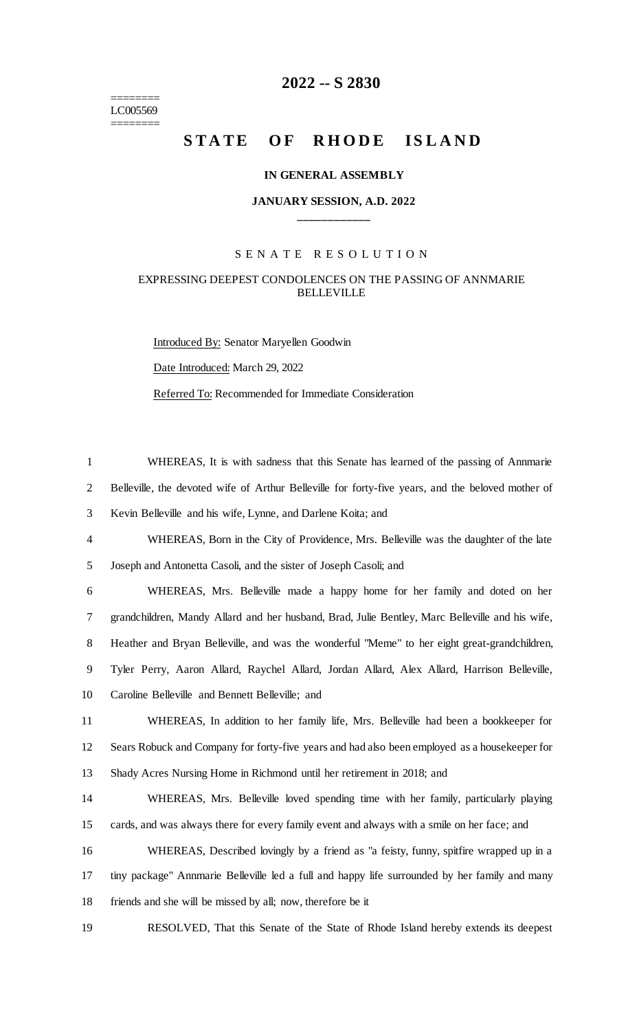======== LC005569 ========

## **-- S 2830**

# STATE OF RHODE ISLAND

#### **IN GENERAL ASSEMBLY**

#### **JANUARY SESSION, A.D. 2022 \_\_\_\_\_\_\_\_\_\_\_\_**

### S E N A T E R E S O L U T I O N

#### EXPRESSING DEEPEST CONDOLENCES ON THE PASSING OF ANNMARIE BELLEVILLE

Introduced By: Senator Maryellen Goodwin Date Introduced: March 29, 2022 Referred To: Recommended for Immediate Consideration

| $\mathbf{1}$   | WHEREAS, It is with sadness that this Senate has learned of the passing of Annmarie               |
|----------------|---------------------------------------------------------------------------------------------------|
| 2              | Belleville, the devoted wife of Arthur Belleville for forty-five years, and the beloved mother of |
| 3              | Kevin Belleville and his wife, Lynne, and Darlene Koita; and                                      |
| $\overline{4}$ | WHEREAS, Born in the City of Providence, Mrs. Belleville was the daughter of the late             |
| 5              | Joseph and Antonetta Casoli, and the sister of Joseph Casoli; and                                 |
| 6              | WHEREAS, Mrs. Belleville made a happy home for her family and doted on her                        |
| 7              | grandchildren, Mandy Allard and her husband, Brad, Julie Bentley, Marc Belleville and his wife,   |
| 8              | Heather and Bryan Belleville, and was the wonderful "Meme" to her eight great-grandchildren,      |
| 9              | Tyler Perry, Aaron Allard, Raychel Allard, Jordan Allard, Alex Allard, Harrison Belleville,       |
| 10             | Caroline Belleville and Bennett Belleville; and                                                   |
| 11             | WHEREAS, In addition to her family life, Mrs. Belleville had been a bookkeeper for                |
| 12             | Sears Robuck and Company for forty-five years and had also been employed as a housekeeper for     |
| 13             | Shady Acres Nursing Home in Richmond until her retirement in 2018; and                            |
| 14             | WHEREAS, Mrs. Belleville loved spending time with her family, particularly playing                |
| 15             | cards, and was always there for every family event and always with a smile on her face; and       |
| 16             | WHEREAS, Described lovingly by a friend as "a feisty, funny, spitfire wrapped up in a             |
| 17             | tiny package" Annmarie Belleville led a full and happy life surrounded by her family and many     |
| 18             | friends and she will be missed by all; now, therefore be it                                       |
| 19             | RESOLVED, That this Senate of the State of Rhode Island hereby extends its deepest                |